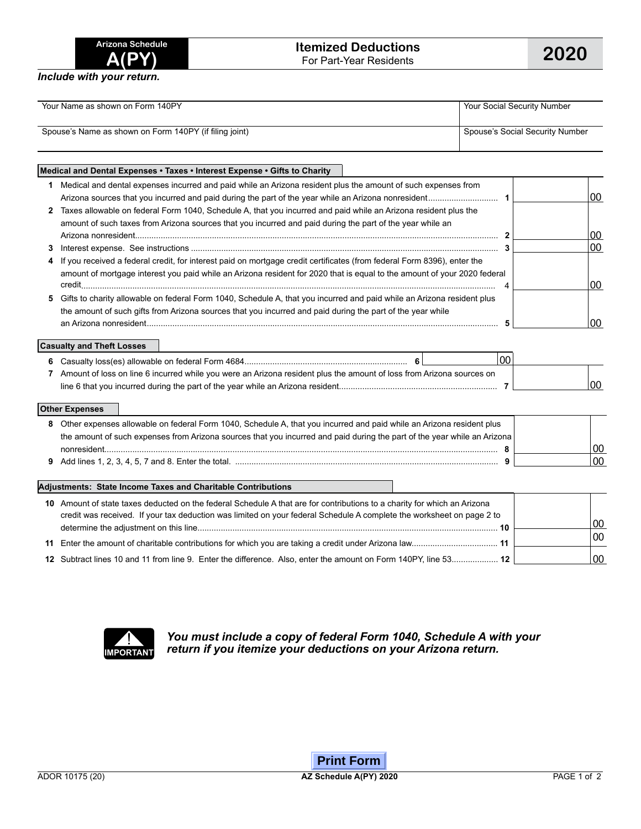*Include with your return.*

| Your Name as shown on Form 140PY                       | Your Social Security Number     |
|--------------------------------------------------------|---------------------------------|
| Spouse's Name as shown on Form 140PY (if filing joint) | Spouse's Social Security Number |

## **Medical and Dental Expenses • Taxes • Interest Expense • Gifts to Charity 1** Medical and dental expenses incurred and paid while an Arizona resident plus the amount of such expenses from Arizona sources that you incurred and paid during the part of the year while an Arizona nonresident.............................. **1** 00 **2** Taxes allowable on federal Form 1040, Schedule A, that you incurred and paid while an Arizona resident plus the

| amount of such taxes from Arizona sources that you incurred and paid during the part of the year while an                 |    |  |
|---------------------------------------------------------------------------------------------------------------------------|----|--|
|                                                                                                                           | 00 |  |
|                                                                                                                           | 00 |  |
| 4 If you received a federal credit, for interest paid on mortgage credit certificates (from federal Form 8396), enter the |    |  |
| amount of mortgage interest you paid while an Arizona resident for 2020 that is equal to the amount of your 2020 federal  |    |  |
|                                                                                                                           |    |  |
| 5 Gifts to charity allowable on federal Form 1040, Schedule A, that you incurred and paid while an Arizona resident plus  |    |  |
| the amount of such gifts from Arizona sources that you incurred and paid during the part of the year while                |    |  |
|                                                                                                                           |    |  |

### **Casualty and Theft Losses**

|                                                                                                                      | 00 |     |
|----------------------------------------------------------------------------------------------------------------------|----|-----|
| Amount of loss on line 6 incurred while you were an Arizona resident plus the amount of loss from Arizona sources on |    |     |
|                                                                                                                      |    | 00l |

### **Other Expenses**

| 8 Other expenses allowable on federal Form 1040, Schedule A, that you incurred and paid while an Arizona resident plus   |  |  |
|--------------------------------------------------------------------------------------------------------------------------|--|--|
| the amount of such expenses from Arizona sources that you incurred and paid during the part of the year while an Arizona |  |  |
| nonresident                                                                                                              |  |  |
|                                                                                                                          |  |  |

#### **Adjustments: State Income Taxes and Charitable Contributions**

| 10 Amount of state taxes deducted on the federal Schedule A that are for contributions to a charity for which an Arizona<br>credit was received. If your tax deduction was limited on your federal Schedule A complete the worksheet on page 2 to |    |
|---------------------------------------------------------------------------------------------------------------------------------------------------------------------------------------------------------------------------------------------------|----|
| 10                                                                                                                                                                                                                                                | 00 |
|                                                                                                                                                                                                                                                   | 00 |
| 12 Subtract lines 10 and 11 from line 9. Enter the difference. Also, enter the amount on Form 140PY, line 53 12                                                                                                                                   | 00 |



*You must include a copy of federal Form 1040, Schedule A with your*  **IMPORTANT** return if you itemize your deductions on your Arizona return.